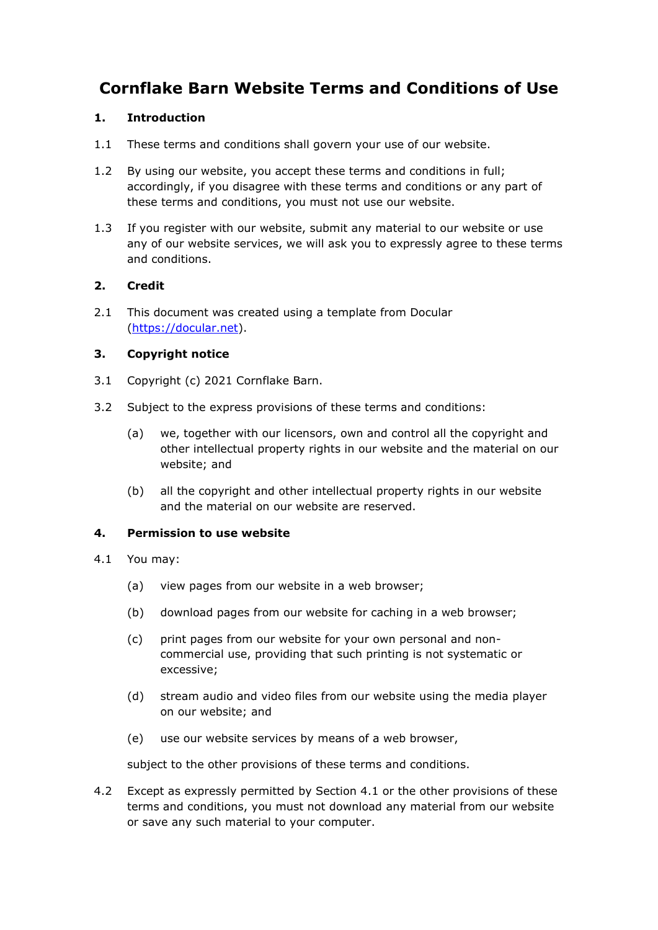# **Cornflake Barn Website Terms and Conditions of Use**

# **1. Introduction**

- 1.1 These terms and conditions shall govern your use of our website.
- 1.2 By using our website, you accept these terms and conditions in full; accordingly, if you disagree with these terms and conditions or any part of these terms and conditions, you must not use our website.
- 1.3 If you register with our website, submit any material to our website or use any of our website services, we will ask you to expressly agree to these terms and conditions.

# **2. Credit**

2.1 This document was created using a template from Docular [\(https://docular.net\)](https://docular.net/).

# **3. Copyright notice**

- 3.1 Copyright (c) 2021 Cornflake Barn.
- 3.2 Subject to the express provisions of these terms and conditions:
	- (a) we, together with our licensors, own and control all the copyright and other intellectual property rights in our website and the material on our website; and
	- (b) all the copyright and other intellectual property rights in our website and the material on our website are reserved.

## **4. Permission to use website**

- 4.1 You may:
	- (a) view pages from our website in a web browser;
	- (b) download pages from our website for caching in a web browser;
	- (c) print pages from our website for your own personal and noncommercial use, providing that such printing is not systematic or excessive;
	- (d) stream audio and video files from our website using the media player on our website; and
	- (e) use our website services by means of a web browser,

subject to the other provisions of these terms and conditions.

4.2 Except as expressly permitted by Section 4.1 or the other provisions of these terms and conditions, you must not download any material from our website or save any such material to your computer.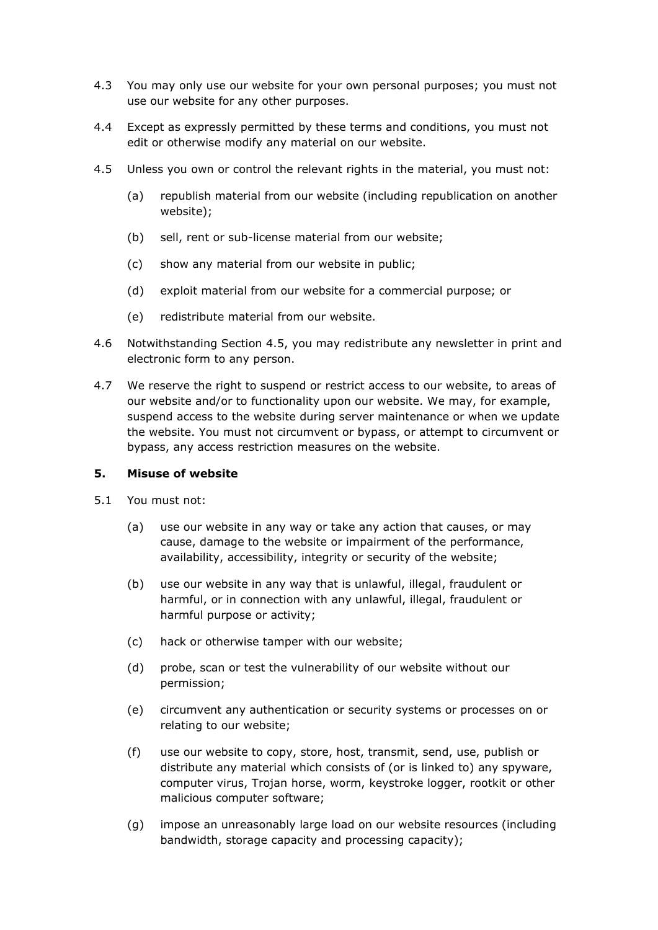- 4.3 You may only use our website for your own personal purposes; you must not use our website for any other purposes.
- 4.4 Except as expressly permitted by these terms and conditions, you must not edit or otherwise modify any material on our website.
- 4.5 Unless you own or control the relevant rights in the material, you must not:
	- (a) republish material from our website (including republication on another website);
	- (b) sell, rent or sub-license material from our website;
	- (c) show any material from our website in public;
	- (d) exploit material from our website for a commercial purpose; or
	- (e) redistribute material from our website.
- 4.6 Notwithstanding Section 4.5, you may redistribute any newsletter in print and electronic form to any person.
- 4.7 We reserve the right to suspend or restrict access to our website, to areas of our website and/or to functionality upon our website. We may, for example, suspend access to the website during server maintenance or when we update the website. You must not circumvent or bypass, or attempt to circumvent or bypass, any access restriction measures on the website.

### **5. Misuse of website**

- 5.1 You must not:
	- (a) use our website in any way or take any action that causes, or may cause, damage to the website or impairment of the performance, availability, accessibility, integrity or security of the website;
	- (b) use our website in any way that is unlawful, illegal, fraudulent or harmful, or in connection with any unlawful, illegal, fraudulent or harmful purpose or activity;
	- (c) hack or otherwise tamper with our website;
	- (d) probe, scan or test the vulnerability of our website without our permission;
	- (e) circumvent any authentication or security systems or processes on or relating to our website;
	- (f) use our website to copy, store, host, transmit, send, use, publish or distribute any material which consists of (or is linked to) any spyware, computer virus, Trojan horse, worm, keystroke logger, rootkit or other malicious computer software;
	- (g) impose an unreasonably large load on our website resources (including bandwidth, storage capacity and processing capacity);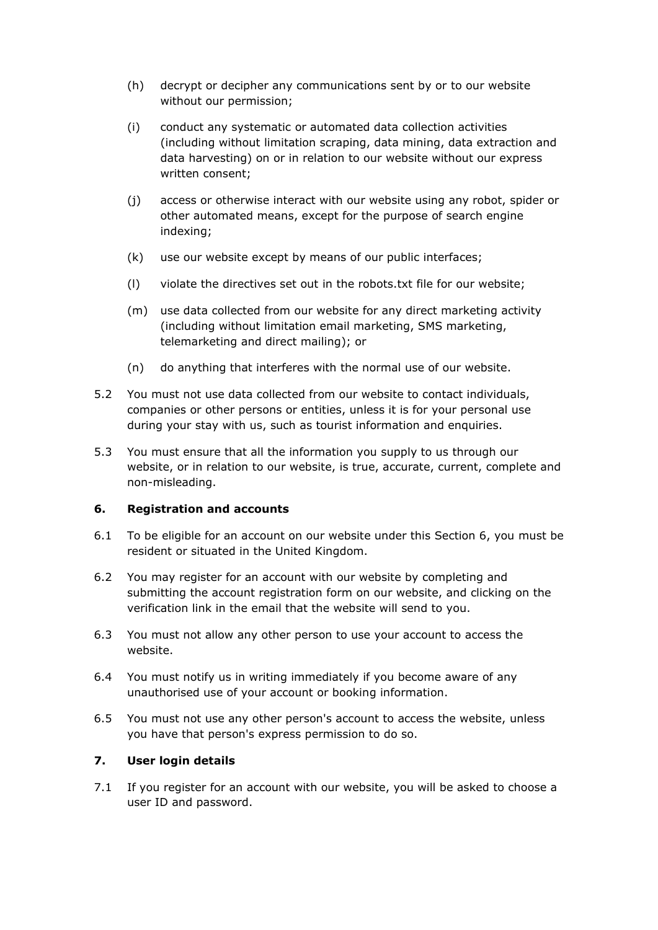- (h) decrypt or decipher any communications sent by or to our website without our permission;
- (i) conduct any systematic or automated data collection activities (including without limitation scraping, data mining, data extraction and data harvesting) on or in relation to our website without our express written consent;
- (j) access or otherwise interact with our website using any robot, spider or other automated means, except for the purpose of search engine indexing;
- (k) use our website except by means of our public interfaces;
- (l) violate the directives set out in the robots.txt file for our website;
- (m) use data collected from our website for any direct marketing activity (including without limitation email marketing, SMS marketing, telemarketing and direct mailing); or
- (n) do anything that interferes with the normal use of our website.
- 5.2 You must not use data collected from our website to contact individuals, companies or other persons or entities, unless it is for your personal use during your stay with us, such as tourist information and enquiries.
- 5.3 You must ensure that all the information you supply to us through our website, or in relation to our website, is true, accurate, current, complete and non-misleading.

# **6. Registration and accounts**

- 6.1 To be eligible for an account on our website under this Section 6, you must be resident or situated in the United Kingdom.
- 6.2 You may register for an account with our website by completing and submitting the account registration form on our website, and clicking on the verification link in the email that the website will send to you.
- 6.3 You must not allow any other person to use your account to access the website.
- 6.4 You must notify us in writing immediately if you become aware of any unauthorised use of your account or booking information.
- 6.5 You must not use any other person's account to access the website, unless you have that person's express permission to do so.

# **7. User login details**

7.1 If you register for an account with our website, you will be asked to choose a user ID and password.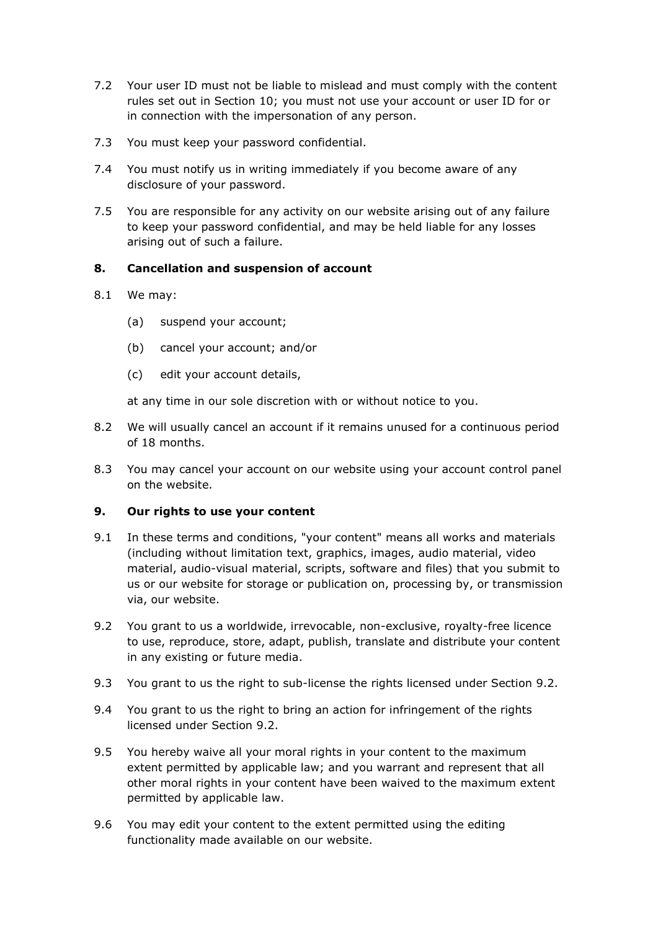- 7.2 Your user ID must not be liable to mislead and must comply with the content rules set out in Section 10; you must not use your account or user ID for or in connection with the impersonation of any person.
- 7.3 You must keep your password confidential.
- 7.4 You must notify us in writing immediately if you become aware of any disclosure of your password.
- 7.5 You are responsible for any activity on our website arising out of any failure to keep your password confidential, and may be held liable for any losses arising out of such a failure.

# **8. Cancellation and suspension of account**

- 8.1 We may:
	- (a) suspend your account;
	- (b) cancel your account; and/or
	- (c) edit your account details,

at any time in our sole discretion with or without notice to you.

- 8.2 We will usually cancel an account if it remains unused for a continuous period of 18 months.
- 8.3 You may cancel your account on our website using your account control panel on the website.

### **9. Our rights to use your content**

- 9.1 In these terms and conditions, "your content" means all works and materials (including without limitation text, graphics, images, audio material, video material, audio-visual material, scripts, software and files) that you submit to us or our website for storage or publication on, processing by, or transmission via, our website.
- 9.2 You grant to us a worldwide, irrevocable, non-exclusive, royalty-free licence to use, reproduce, store, adapt, publish, translate and distribute your content in any existing or future media.
- 9.3 You grant to us the right to sub-license the rights licensed under Section 9.2.
- 9.4 You grant to us the right to bring an action for infringement of the rights licensed under Section 9.2.
- 9.5 You hereby waive all your moral rights in your content to the maximum extent permitted by applicable law; and you warrant and represent that all other moral rights in your content have been waived to the maximum extent permitted by applicable law.
- 9.6 You may edit your content to the extent permitted using the editing functionality made available on our website.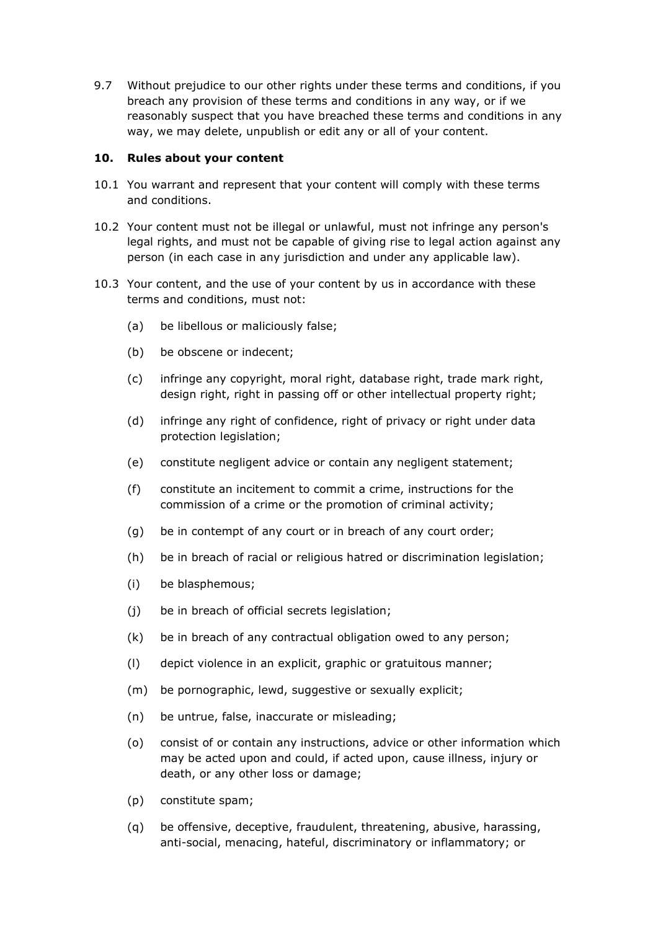9.7 Without prejudice to our other rights under these terms and conditions, if you breach any provision of these terms and conditions in any way, or if we reasonably suspect that you have breached these terms and conditions in any way, we may delete, unpublish or edit any or all of your content.

## **10. Rules about your content**

- 10.1 You warrant and represent that your content will comply with these terms and conditions.
- 10.2 Your content must not be illegal or unlawful, must not infringe any person's legal rights, and must not be capable of giving rise to legal action against any person (in each case in any jurisdiction and under any applicable law).
- 10.3 Your content, and the use of your content by us in accordance with these terms and conditions, must not:
	- (a) be libellous or maliciously false;
	- (b) be obscene or indecent;
	- (c) infringe any copyright, moral right, database right, trade mark right, design right, right in passing off or other intellectual property right;
	- (d) infringe any right of confidence, right of privacy or right under data protection legislation;
	- (e) constitute negligent advice or contain any negligent statement;
	- (f) constitute an incitement to commit a crime, instructions for the commission of a crime or the promotion of criminal activity;
	- (g) be in contempt of any court or in breach of any court order;
	- (h) be in breach of racial or religious hatred or discrimination legislation;
	- (i) be blasphemous;
	- (j) be in breach of official secrets legislation;
	- (k) be in breach of any contractual obligation owed to any person;
	- (l) depict violence in an explicit, graphic or gratuitous manner;
	- (m) be pornographic, lewd, suggestive or sexually explicit;
	- (n) be untrue, false, inaccurate or misleading;
	- (o) consist of or contain any instructions, advice or other information which may be acted upon and could, if acted upon, cause illness, injury or death, or any other loss or damage;
	- (p) constitute spam;
	- (q) be offensive, deceptive, fraudulent, threatening, abusive, harassing, anti-social, menacing, hateful, discriminatory or inflammatory; or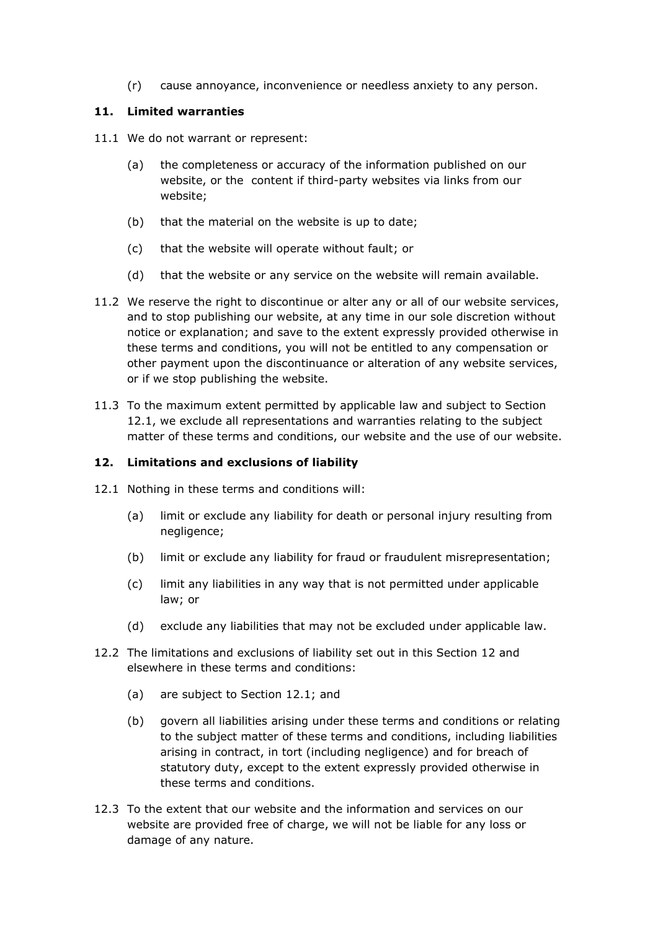(r) cause annoyance, inconvenience or needless anxiety to any person.

## **11. Limited warranties**

- 11.1 We do not warrant or represent:
	- (a) the completeness or accuracy of the information published on our website, or the content if third-party websites via links from our website;
	- (b) that the material on the website is up to date;
	- (c) that the website will operate without fault; or
	- (d) that the website or any service on the website will remain available.
- 11.2 We reserve the right to discontinue or alter any or all of our website services, and to stop publishing our website, at any time in our sole discretion without notice or explanation; and save to the extent expressly provided otherwise in these terms and conditions, you will not be entitled to any compensation or other payment upon the discontinuance or alteration of any website services, or if we stop publishing the website.
- 11.3 To the maximum extent permitted by applicable law and subject to Section 12.1, we exclude all representations and warranties relating to the subject matter of these terms and conditions, our website and the use of our website.

## **12. Limitations and exclusions of liability**

- 12.1 Nothing in these terms and conditions will:
	- (a) limit or exclude any liability for death or personal injury resulting from negligence;
	- (b) limit or exclude any liability for fraud or fraudulent misrepresentation;
	- (c) limit any liabilities in any way that is not permitted under applicable law; or
	- (d) exclude any liabilities that may not be excluded under applicable law.
- 12.2 The limitations and exclusions of liability set out in this Section 12 and elsewhere in these terms and conditions:
	- (a) are subject to Section 12.1; and
	- (b) govern all liabilities arising under these terms and conditions or relating to the subject matter of these terms and conditions, including liabilities arising in contract, in tort (including negligence) and for breach of statutory duty, except to the extent expressly provided otherwise in these terms and conditions.
- 12.3 To the extent that our website and the information and services on our website are provided free of charge, we will not be liable for any loss or damage of any nature.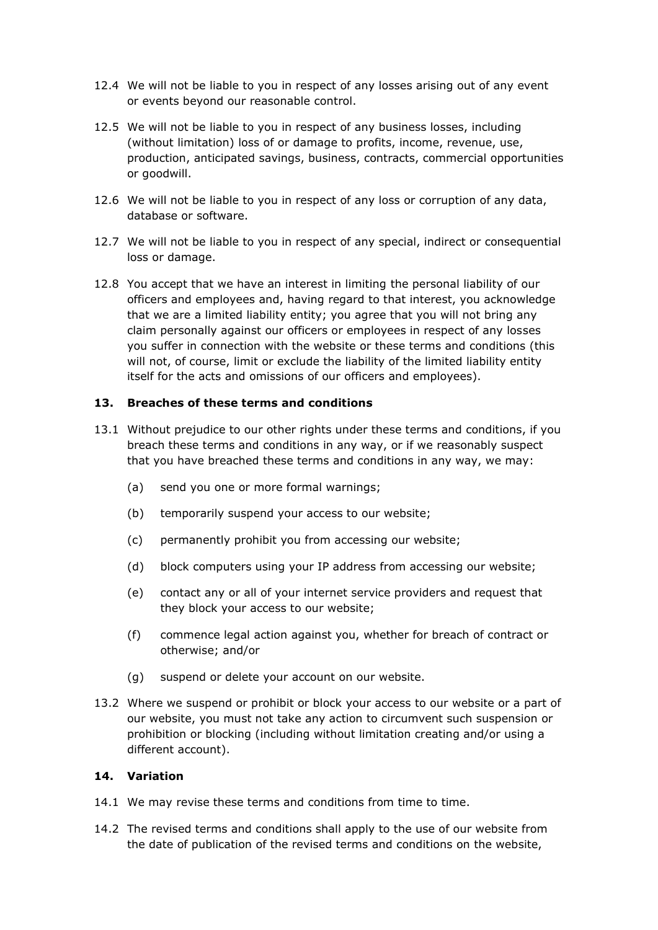- 12.4 We will not be liable to you in respect of any losses arising out of any event or events beyond our reasonable control.
- 12.5 We will not be liable to you in respect of any business losses, including (without limitation) loss of or damage to profits, income, revenue, use, production, anticipated savings, business, contracts, commercial opportunities or goodwill.
- 12.6 We will not be liable to you in respect of any loss or corruption of any data, database or software.
- 12.7 We will not be liable to you in respect of any special, indirect or consequential loss or damage.
- 12.8 You accept that we have an interest in limiting the personal liability of our officers and employees and, having regard to that interest, you acknowledge that we are a limited liability entity; you agree that you will not bring any claim personally against our officers or employees in respect of any losses you suffer in connection with the website or these terms and conditions (this will not, of course, limit or exclude the liability of the limited liability entity itself for the acts and omissions of our officers and employees).

# **13. Breaches of these terms and conditions**

- 13.1 Without prejudice to our other rights under these terms and conditions, if you breach these terms and conditions in any way, or if we reasonably suspect that you have breached these terms and conditions in any way, we may:
	- (a) send you one or more formal warnings;
	- (b) temporarily suspend your access to our website;
	- (c) permanently prohibit you from accessing our website;
	- (d) block computers using your IP address from accessing our website;
	- (e) contact any or all of your internet service providers and request that they block your access to our website;
	- (f) commence legal action against you, whether for breach of contract or otherwise; and/or
	- (g) suspend or delete your account on our website.
- 13.2 Where we suspend or prohibit or block your access to our website or a part of our website, you must not take any action to circumvent such suspension or prohibition or blocking (including without limitation creating and/or using a different account).

## **14. Variation**

- 14.1 We may revise these terms and conditions from time to time.
- 14.2 The revised terms and conditions shall apply to the use of our website from the date of publication of the revised terms and conditions on the website,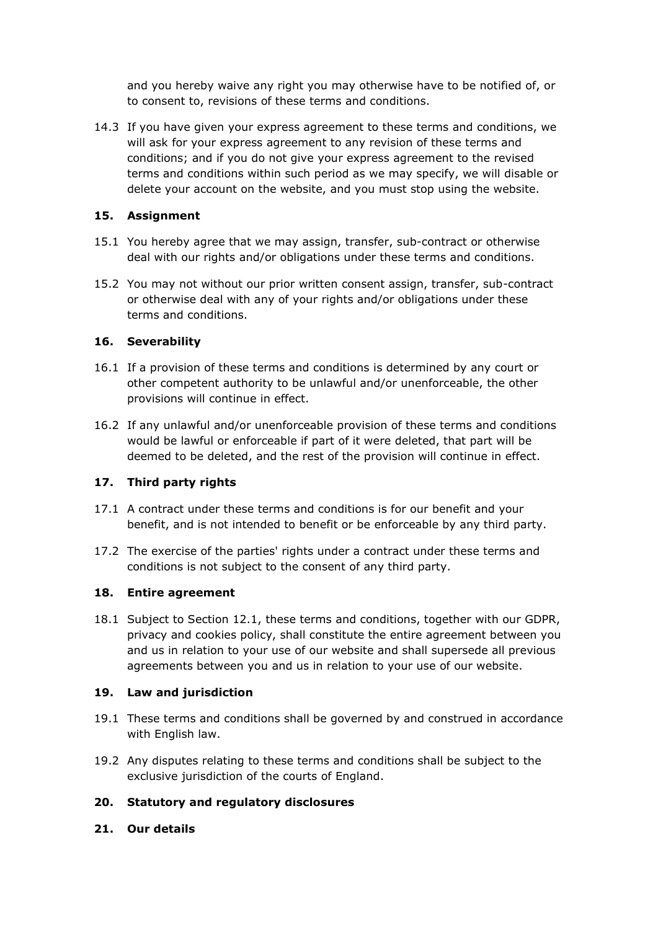and you hereby waive any right you may otherwise have to be notified of, or to consent to, revisions of these terms and conditions.

14.3 If you have given your express agreement to these terms and conditions, we will ask for your express agreement to any revision of these terms and conditions; and if you do not give your express agreement to the revised terms and conditions within such period as we may specify, we will disable or delete your account on the website, and you must stop using the website.

# **15. Assignment**

- 15.1 You hereby agree that we may assign, transfer, sub-contract or otherwise deal with our rights and/or obligations under these terms and conditions.
- 15.2 You may not without our prior written consent assign, transfer, sub-contract or otherwise deal with any of your rights and/or obligations under these terms and conditions.

## **16. Severability**

- 16.1 If a provision of these terms and conditions is determined by any court or other competent authority to be unlawful and/or unenforceable, the other provisions will continue in effect.
- 16.2 If any unlawful and/or unenforceable provision of these terms and conditions would be lawful or enforceable if part of it were deleted, that part will be deemed to be deleted, and the rest of the provision will continue in effect.

### **17. Third party rights**

- 17.1 A contract under these terms and conditions is for our benefit and your benefit, and is not intended to benefit or be enforceable by any third party.
- 17.2 The exercise of the parties' rights under a contract under these terms and conditions is not subject to the consent of any third party.

### **18. Entire agreement**

18.1 Subject to Section 12.1, these terms and conditions, together with our GDPR, privacy and cookies policy, shall constitute the entire agreement between you and us in relation to your use of our website and shall supersede all previous agreements between you and us in relation to your use of our website.

### **19. Law and jurisdiction**

- 19.1 These terms and conditions shall be governed by and construed in accordance with English law.
- 19.2 Any disputes relating to these terms and conditions shall be subject to the exclusive jurisdiction of the courts of England.

# **20. Statutory and regulatory disclosures**

**21. Our details**